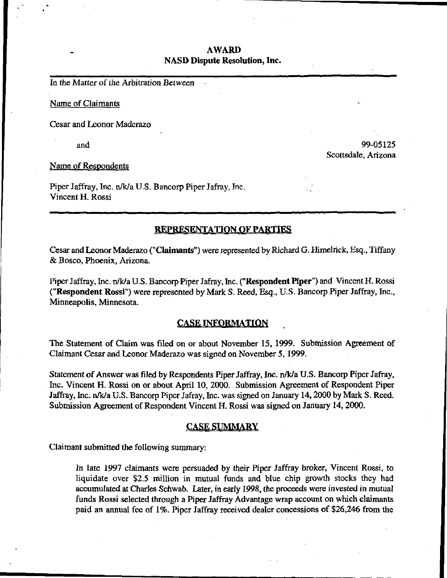# AWARD NASD Dispute Resolution, Inc.

In the Matter of the Arbitration Between

Name of Claimants

Cesar and Leonor Maderazo

and  $99-05125$ Scottsdale, Arizona

Name of Respondents

Piper Jaffray, Inc. n/k/a U.S. Bancorp Piper Jafray, Inc. Vincent H. Rossi

# REPRESENTATION OF PARTIES

Cesar and Leonor Maderazo ("Claimants") were represented by Richard G. Himelrick, Esq., Tiffany & Bosco, Phoenix, Arizona.

Piper Jaffray, Inc. n/k/a U.S. Bancorp Piper Jafray, Inc. ("Respondent Piper") and Vincent H. Rossi ("Respondent Rossi") were represented by Mark S. Reed, Esq., U.S. Bancorp Piper Jaffray, Inc., Minneapolis, Minnesota.

# CASE INFORMATION

The Statement of Claim was filed on or about November 15, 1999. Submission Agreement of Claimant Cesar and Leonor Maderazo was signed on November 5,1999.

Statement of Answer was filed by Respondents Piper Jaffray, Inc. n/k/a U.S. Bancorp Piper Jafray, Inc. Vincent H. Rossi on or about April 10, 2000. Submission Agreement of Respondent Piper Jaffray, Inc. n/k/a U.S. Bancorp Piper Jafray, Inc. was signed on January 14,2000 by Mark S. Reed. Submission Agreement of Respondent Vincent H. Rossi was signed on January 14,2000.

## CASE SUMMARY

Claimant submitted the following summary:

In late 1997 claimants were persuaded by their Piper Jaffray broker, Vincent Rossi, to liquidate over \$2.5 million in mutual funds and blue chip growth stocks they had accumulated at Charles Schwab. Later, in early 1998, the proceeds were invested in mutual funds Rossi selected through a Piper Jaffray Advantage wrap account on which claimants paid an annual fee of 1%. Piper Jaffray received dealer concessions of \$26,246 from the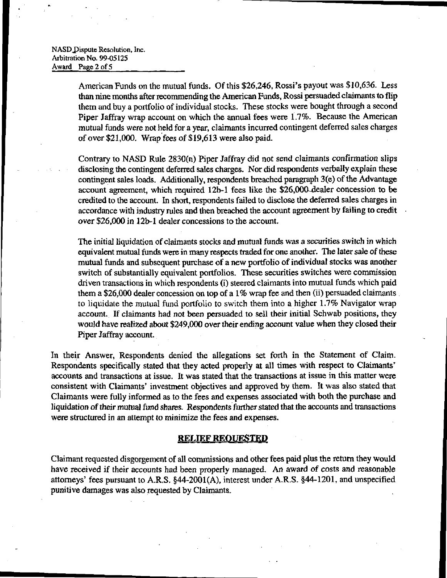#### NASD Dispute Resolution, Inc. Arbitration No. 99-05125 Award Page 2 of 5

American Funds on the mutual funds. Of this \$26,246, Rossi's payout was \$10,636. Less than nine months after recommending the American Funds, Rossi persuaded claimants to flip them and buy a portfolio of individual stocks. These stocks were bought through a second Piper Jaffray wrap account on which the annual fees were 1.7%. Because the American mutual funds were not held for a year, claimants incurred contingent deferred sales charges of over \$21,000. Wrap fees of \$19,613 were also paid.

Contrary to NASD Rule 2830(n) Piper Jaffray did not send claimants confirmation slips disclosing the contingent deferred sales charges. Nor did respondents verbally explain these contingent sales loads. Additionally, respondents breached paragraph 3(e) of the Advantage account agreement, which required 12b-l fees like the \$26,000-dealer concession to be credited to the account. In short, respondents failed to disclose the deferred sales charges in accordance with industry rules and then breached the account agreement by failing to credit over \$26,000 in 12b-l dealer concessions to the account

The initial liquidation of claimants stocks and mutual funds was a securities switch in which equivalent mutual funds were in many respects traded for one another. The later sale of these mutual funds and subsequent purchase of a new portfolio of individual stocks was another switch of substantially equivalent portfolios. These securities switches were commission driven transactions in which respondents (i) steered claimants into mutual funds which paid them a \$26,000 dealer concession on top of a 1% wrap fee and then (ii) persuaded claimants to liquidate the mutual fund portfolio to switch them into a higher 1.7% Navigator wrap account. If claimants had not been persuaded to sell their initial Schwab positions, they would have realized about \$249,000 over their ending account value when they closed their Piper Jaffray account.

In their Answer, Respondents denied the allegations set forth in the Statement of Claim. Respondents specifically stated that they acted properly at all times with respect to Claimants' accounts and transactions at issue. It was stated that the transactions at issue in this matter were consistent with Claimants' investment objectives and approved by them. It was also stated that Claimants were fully informed as to the fees and expenses associated with both the purchase and liquidation of their mutual fund shares. Respondents further stated that the accounts and transactions were structured in an attempt to minimize the fees and expenses.

## RELIEF REQUESTED

Claimant requested disgorgement of all commissions and other fees paid plus the return they would have received if their accounts had been properly managed. An award of costs and reasonable attorneys' fees pursuant to A.R.S. §44-2001(A), interest under A.R.S. §44-1201, and unspecified punitive damages was also requested by Claimants.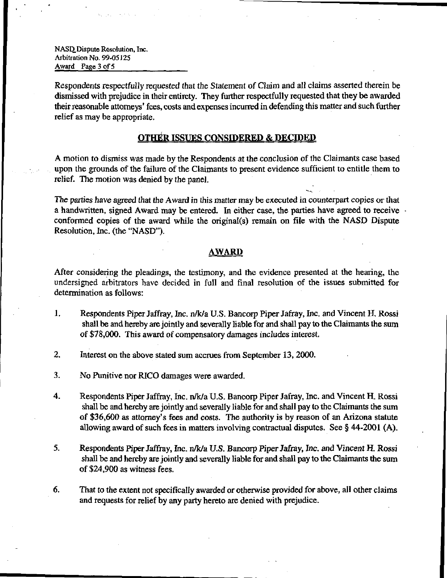NASD.Dispute Resolution, Inc. Arbitration No. 99-05125 Award Page 3 of 5

Respondents respectfully requested that the Statement of Claim and all claims asserted therein be dismissed with prejudice in their entirety. They further respectfully requested that they be awarded their reasonable attorneys' fees, costs and expenses incurred in defending this matter and such further relief as may be appropriate.

# **OTHER ISSUES CONSIDERED & DECIDED**

A motion to dismiss was made by the Respondents at the conclusion of the Claimants case based upon the grounds of the failure of the Claimants to present evidence sufficient to entitle them to relief. The motion was denied by the panel.

The parties have agreed that the Award in this matter may be executed in counterpart copies or that a handwritten, signed Award may be entered. In either case, the parties have agreed to receive conformed copies of the award while the original(s) remain on file with the NASD Dispute Resolution, Inc. (the "NASD").

## <u>AWARD</u>

After considering the pleadings, the testimony, and the evidence presented at the hearing, the undersigned arbitrators have decided in full and final resolution of the issues submitted for determination as follows:

- 1. Respondents Piper Jaffray, Inc. n/k/a U.S. Bancorp Piper Jafray, Inc. and Vincent H, Rossi shall be and hereby are jointly and severally liable for and shall pay to the Claimants the sum of \$78,000. This award of compensatory damages includes interest.
- 2. Interest on the above stated sum accrues from September 13,2000.
- 3. No Punitive nor RICO damages were awarded.
- 4. Respondents Piper Jaffray, Inc. n/k/a U.S. Bancorp Piper Jafray, Inc. and Vincent H. Rossi shall be and hereby are jointly and severally liable for and shall pay to the Claimants the sum of \$36,600 as attorney's fees and costs. The authority is by reason of an Arizona statute allowing award of such fees in matters involving contractual disputes. See § 44-2001 (A).
- 5. Respondents Piper Jaffray, Inc. n/k/a U.S. Bancorp Piper Jafray, Inc. and Vincent H. Rossi shall be and hereby are jointly and severally liable for and shall pay to the Claimants the sum of \$24,900 as witness fees.
- 6. That to the extent not specifically awarded or otherwise provided for above, all other claims and requests for relief by any party hereto are denied with prejudice.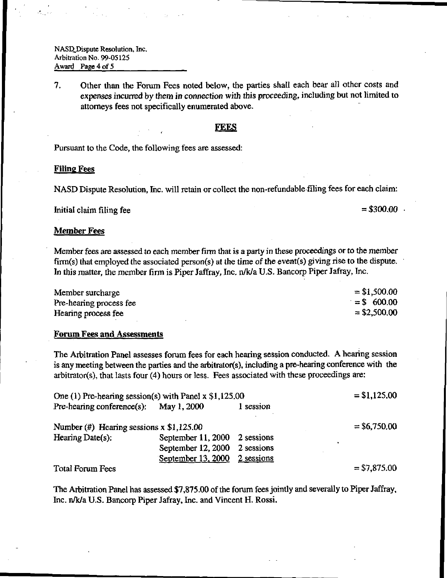NASD Dispute Resolution, Inc. Arbitration No. 99-05125 Award Page 4 of 5

7. Other than the Forum Fees noted below, the parties shall each bear all other costs and expenses incurred by them in connection with this proceeding, including but not limited to attorneys fees not specifically enumerated above.

#### **FEES**

Pursuant to the Code, the following fees are assessed:

### Filing Fees

NASD Dispute Resolution, Inc. will retain or collect the non-refundable filing fees for each claim:

Initial claim filing fee  $= $300.00$ .

### Member Fees

Member fees are assessed to each member firm that is a party in these proceedings or to the member firm(s) that employed the associated person(s) at the time of the event(s) giving rise to the dispute. In this matter, the member firm is Piper Jaffray, Inc. n/k/a U.S. Bancorp Piper Jafray, Inc.

| Member surcharge        | $= $1,500.00$  |
|-------------------------|----------------|
| Pre-hearing process fee | $=$ \$ 600.00  |
| Hearing process fee     | $=$ \$2,500,00 |

### Forum Fees and Assessments

The Arbitration Panel assesses forum fees for each hearing session conducted. A hearing session is any meeting between the parties and the arbitrator(s), including a pre-hearing conference with the arbitrator(s), that lasts four (4) hours or less. Fees associated with these proceedings are:

| One (1) Pre-hearing session(s) with Panel $x$ \$1,125.00 |                               |            | $=$ \$1,125.00 |
|----------------------------------------------------------|-------------------------------|------------|----------------|
| Pre-hearing conference(s): May 1, 2000                   |                               | 1 session  |                |
| Number $(\#)$ Hearing sessions x \$1,125.00              |                               |            | $=$ \$6,750.00 |
| Hearing Date(s):                                         | September 11, 2000 2 sessions |            |                |
|                                                          | September 12, 2000 2 sessions |            |                |
|                                                          | September 13, 2000            | 2 sessions |                |
| <b>Total Forum Fees</b>                                  |                               |            | $= $7,875.00$  |

The Arbitration Panel has assessed \$7,875.00 of the forum fees jointly and severally to Piper Jaffray, Inc. n/k/a U.S. Bancorp Piper Jafray, Inc. and Vincent H. Rossi.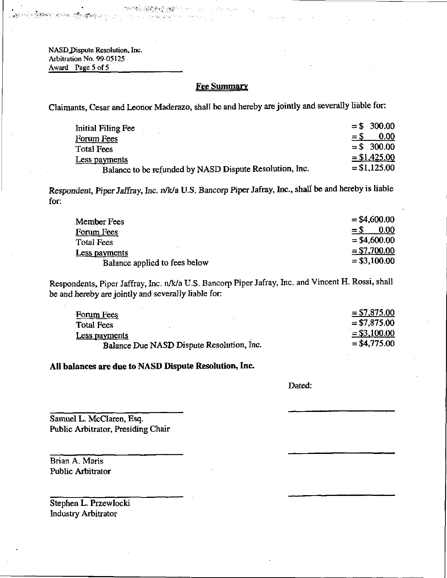NASD Dispute Resolution, Inc. Arbitration No. 99-05125 Award Page 5 of 5

PERMIT WASHINGTON

# Fee Summary

Claimants, Cesar and Leonor Maderazo, shall be and hereby are jointly and severally liable for:

| Initial Filing Fee                                      | $= $300.00$    |
|---------------------------------------------------------|----------------|
| Forum Fees                                              | 0.00<br>$=$ \$ |
| Total Fees                                              | $=$ \$ 300.00  |
| Less payments                                           | $= $1,425.00$  |
| Balance to be refunded by NASD Dispute Resolution, Inc. | $= $1,125.00$  |

Respondent, Piper Jaffray, Inc. n/k/a U.S. Bancorp Piper Jafray, Inc., shall be and hereby is liable for;

| Member Fees                   | $=$ \$4,600.00 |
|-------------------------------|----------------|
| Forum Fees                    | 0.00<br>$=$ S  |
| Total Fees                    | $=$ \$4,600.00 |
| Less payments                 | $= $7,700.00$  |
| Balance applied to fees below | $= $3,100.00$  |

Respondents, Piper Jaffray, Inc. n/k/a U.S. Bancorp Piper Jafray, Inc. and Vincent H. Rossi, shall be and hereby are jointly and severally liable for:

| Forum Fees                                | $= $7,875.00$  |
|-------------------------------------------|----------------|
| <b>Total Fees</b>                         | $= $7,875.00$  |
| Less payments                             | $= $3,100.00$  |
| Balance Due NASD Dispute Resolution, Inc. | $=$ \$4,775.00 |

All balances are due to NASD Dispute Resolution, Inc.

Dated:

Samuel L. McClaren, Esq. Public Arbitrator, Presiding Chair

Brian A. Maris Public Arbitrator

Stephen L. Przewlocki Industry Arbitrator